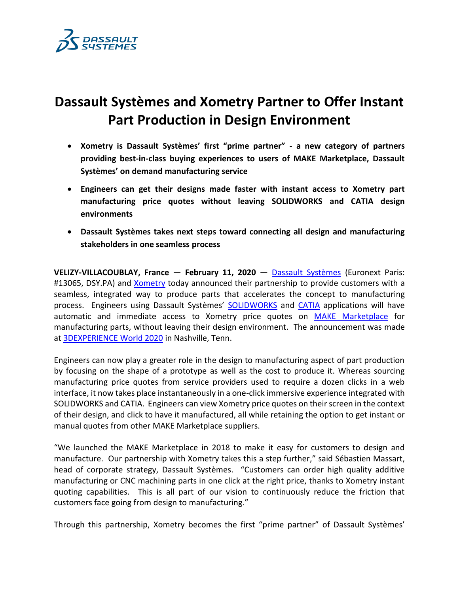

# **Dassault Systèmes and Xometry Partner to Offer Instant Part Production in Design Environment**

- **Xometry is Dassault Systèmes' first "prime partner" - a new category of partners providing best-in-class buying experiences to users of MAKE Marketplace, Dassault Systèmes' on demand manufacturing service**
- **Engineers can get their designs made faster with instant access to Xometry part manufacturing price quotes without leaving SOLIDWORKS and CATIA design environments**
- **Dassault Systèmes takes next steps toward connecting all design and manufacturing stakeholders in one seamless process**

**VELIZY-VILLACOUBLAY, France** — **February 11, 2020** — [Dassault Systèmes](http://www.3ds.com/) (Euronext Paris: #13065, DSY.PA) and *Xometry* today announced their partnership to provide customers with a seamless, integrated way to produce parts that accelerates the concept to manufacturing process. Engineers using Dassault Systèmes' [SOLIDWORKS](https://www.3ds.com/products-services/solidworks/) and [CATIA](https://www.3ds.com/products-services/catia/) applications will have automatic and immediate access to Xometry price quotes on MAKE [Marketplace](https://3dexperience.3ds.com/3dexperience-marketplace/) for manufacturing parts, without leaving their design environment. The announcement was made at [3DEXPERIENCE World 2020](https://www.3dexperienceworld.com/overview) in Nashville, Tenn.

Engineers can now play a greater role in the design to manufacturing aspect of part production by focusing on the shape of a prototype as well as the cost to produce it. Whereas sourcing manufacturing price quotes from service providers used to require a dozen clicks in a web interface, it now takes place instantaneously in a one-click immersive experience integrated with SOLIDWORKS and CATIA. Engineers can view Xometry price quotes on their screen in the context of their design, and click to have it manufactured, all while retaining the option to get instant or manual quotes from other MAKE Marketplace suppliers.

"We launched the MAKE Marketplace in 2018 to make it easy for customers to design and manufacture. Our partnership with Xometry takes this a step further," said Sébastien Massart, head of corporate strategy, Dassault Systèmes. "Customers can order high quality additive manufacturing or CNC machining parts in one click at the right price, thanks to Xometry instant quoting capabilities. This is all part of our vision to continuously reduce the friction that customers face going from design to manufacturing."

Through this partnership, Xometry becomes the first "prime partner" of Dassault Systèmes'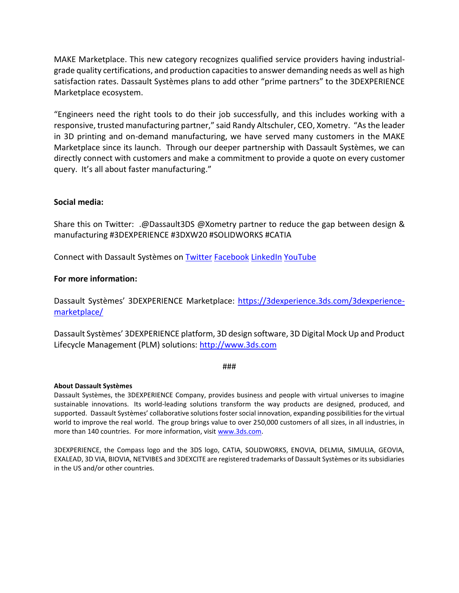MAKE Marketplace. This new category recognizes qualified service providers having industrialgrade quality certifications, and production capacities to answer demanding needs as well as high satisfaction rates. Dassault Systèmes plans to add other "prime partners" to the 3DEXPERIENCE Marketplace ecosystem.

"Engineers need the right tools to do their job successfully, and this includes working with a responsive, trusted manufacturing partner," said Randy Altschuler, CEO, Xometry. "As the leader in 3D printing and on-demand manufacturing, we have served many customers in the MAKE Marketplace since its launch. Through our deeper partnership with Dassault Systèmes, we can directly connect with customers and make a commitment to provide a quote on every customer query. It's all about faster manufacturing."

# **Social media:**

Share this on Twitter: .@Dassault3DS @Xometry partner to reduce the gap between design & manufacturing #3DEXPERIENCE #3DXW20 #SOLIDWORKS #CATIA

Connect with Dassault Systèmes on [Twitter](https://twitter.com/Dassault3DS) [Facebook](https://www.facebook.com/DassaultSystemes) [LinkedIn](https://www.linkedin.com/company/dassaultsystemes) [YouTube](https://www.youtube.com/DassaultSystemes)

## **For more information:**

Dassault Systèmes' 3DEXPERIENCE Marketplace: [https://3dexperience.3ds.com/3dexperience](https://3dexperience.3ds.com/3dexperience-marketplace/)[marketplace/](https://3dexperience.3ds.com/3dexperience-marketplace/)

Dassault Systèmes' 3DEXPERIENCE platform, 3D design software, 3D Digital Mock Up and Product Lifecycle Management (PLM) solutions: [http://www.3ds.com](http://www.3ds.com/)

###

## **About Dassault Systèmes**

Dassault Systèmes, the 3DEXPERIENCE Company, provides business and people with virtual universes to imagine sustainable innovations. Its world-leading solutions transform the way products are designed, produced, and supported. Dassault Systèmes' collaborative solutions foster social innovation, expanding possibilities for the virtual world to improve the real world. The group brings value to over 250,000 customers of all sizes, in all industries, in more than 140 countries. For more information, visi[t www.3ds.com.](http://www.3ds.com/)

3DEXPERIENCE, the Compass logo and the 3DS logo, CATIA, SOLIDWORKS, ENOVIA, DELMIA, SIMULIA, GEOVIA, EXALEAD, 3D VIA, BIOVIA, NETVIBES and 3DEXCITE are registered trademarks of Dassault Systèmes or its subsidiaries in the US and/or other countries.